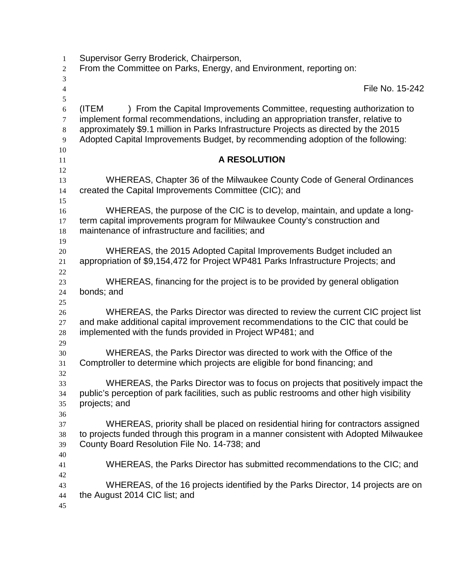| $\mathbf{1}$                         | Supervisor Gerry Broderick, Chairperson,                                                                                                                                                                                                                                                                                                         |
|--------------------------------------|--------------------------------------------------------------------------------------------------------------------------------------------------------------------------------------------------------------------------------------------------------------------------------------------------------------------------------------------------|
| $\overline{c}$                       | From the Committee on Parks, Energy, and Environment, reporting on:                                                                                                                                                                                                                                                                              |
| 3                                    |                                                                                                                                                                                                                                                                                                                                                  |
| $\overline{4}$<br>5                  | File No. 15-242                                                                                                                                                                                                                                                                                                                                  |
| 6<br>$\tau$<br>$8\,$<br>$\mathbf{9}$ | ) From the Capital Improvements Committee, requesting authorization to<br>(ITEM<br>implement formal recommendations, including an appropriation transfer, relative to<br>approximately \$9.1 million in Parks Infrastructure Projects as directed by the 2015<br>Adopted Capital Improvements Budget, by recommending adoption of the following: |
| $10\,$<br>11                         | <b>A RESOLUTION</b>                                                                                                                                                                                                                                                                                                                              |
| 12                                   |                                                                                                                                                                                                                                                                                                                                                  |
| 13<br>14<br>15                       | WHEREAS, Chapter 36 of the Milwaukee County Code of General Ordinances<br>created the Capital Improvements Committee (CIC); and                                                                                                                                                                                                                  |
| 16<br>17<br>18                       | WHEREAS, the purpose of the CIC is to develop, maintain, and update a long-<br>term capital improvements program for Milwaukee County's construction and<br>maintenance of infrastructure and facilities; and                                                                                                                                    |
| 19<br>$20\,$<br>21<br>$22\,$         | WHEREAS, the 2015 Adopted Capital Improvements Budget included an<br>appropriation of \$9,154,472 for Project WP481 Parks Infrastructure Projects; and                                                                                                                                                                                           |
| 23<br>24                             | WHEREAS, financing for the project is to be provided by general obligation<br>bonds; and                                                                                                                                                                                                                                                         |
| 25<br>26<br>27<br>$28\,$             | WHEREAS, the Parks Director was directed to review the current CIC project list<br>and make additional capital improvement recommendations to the CIC that could be<br>implemented with the funds provided in Project WP481; and                                                                                                                 |
| 29<br>30<br>31<br>32                 | WHEREAS, the Parks Director was directed to work with the Office of the<br>Comptroller to determine which projects are eligible for bond financing; and                                                                                                                                                                                          |
| 33<br>34<br>35                       | WHEREAS, the Parks Director was to focus on projects that positively impact the<br>public's perception of park facilities, such as public restrooms and other high visibility<br>projects; and                                                                                                                                                   |
| 36<br>37<br>38<br>39                 | WHEREAS, priority shall be placed on residential hiring for contractors assigned<br>to projects funded through this program in a manner consistent with Adopted Milwaukee<br>County Board Resolution File No. 14-738; and                                                                                                                        |
| 40<br>41                             | WHEREAS, the Parks Director has submitted recommendations to the CIC; and                                                                                                                                                                                                                                                                        |
| 42<br>43<br>44<br>45                 | WHEREAS, of the 16 projects identified by the Parks Director, 14 projects are on<br>the August 2014 CIC list; and                                                                                                                                                                                                                                |